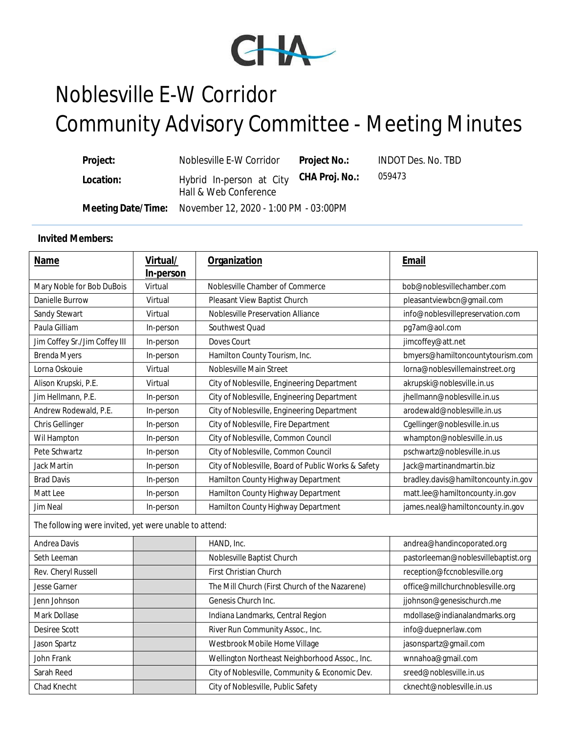

## Noblesville E-W Corridor Community Advisory Committee - Meeting Minutes

| Project:  | Noblesville E-W Corridor                                         | Project No.: | <b>INDOT Des. No. TBD</b> |
|-----------|------------------------------------------------------------------|--------------|---------------------------|
| Location: | Hybrid In-person at City CHA Proj. No.:<br>Hall & Web Conference |              | 059473                    |
|           | Meeting Date/Time: November 12, 2020 - 1:00 PM - 03:00PM         |              |                           |

## **Invited Members:**

| <b>Name</b>                                            | Virtual/<br>In-person | Organization                                        | Email                               |
|--------------------------------------------------------|-----------------------|-----------------------------------------------------|-------------------------------------|
| Mary Noble for Bob DuBois                              | Virtual               | Noblesville Chamber of Commerce                     | bob@noblesvillechamber.com          |
| Danielle Burrow                                        | Virtual               | Pleasant View Baptist Church                        | pleasantviewbcn@gmail.com           |
| Sandy Stewart                                          | Virtual               | Noblesville Preservation Alliance                   | info@noblesvillepreservation.com    |
| Paula Gilliam                                          | In-person             | Southwest Quad                                      | pg7am@aol.com                       |
| Jim Coffey Sr./Jim Coffey III                          | In-person             | Doves Court                                         | jimcoffey@att.net                   |
| <b>Brenda Myers</b>                                    | In-person             | Hamilton County Tourism, Inc.                       | bmyers@hamiltoncountytourism.com    |
| Lorna Oskouie                                          | Virtual               | Noblesville Main Street                             | lorna@noblesvillemainstreet.org     |
| Alison Krupski, P.E.                                   | Virtual               | City of Noblesville, Engineering Department         | akrupski@noblesville.in.us          |
| Jim Hellmann, P.E.                                     | In-person             | City of Noblesville, Engineering Department         | jhellmann@noblesville.in.us         |
| Andrew Rodewald, P.E.                                  | In-person             | City of Noblesville, Engineering Department         | arodewald@noblesville.in.us         |
| Chris Gellinger                                        | In-person             | City of Noblesville, Fire Department                | Cgellinger@noblesville.in.us        |
| Wil Hampton                                            | In-person             | City of Noblesville, Common Council                 | whampton@noblesville.in.us          |
| Pete Schwartz                                          | In-person             | City of Noblesville, Common Council                 | pschwartz@noblesville.in.us         |
| Jack Martin                                            | In-person             | City of Noblesville, Board of Public Works & Safety | Jack@martinandmartin.biz            |
| <b>Brad Davis</b>                                      | In-person             | Hamilton County Highway Department                  | bradley.davis@hamiltoncounty.in.gov |
| Matt Lee                                               | In-person             | Hamilton County Highway Department                  | matt.lee@hamiltoncounty.in.gov      |
| Jim Neal                                               | In-person             | Hamilton County Highway Department                  | james.neal@hamiltoncounty.in.gov    |
| The following were invited, yet were unable to attend: |                       |                                                     |                                     |
| Andrea Davis                                           |                       | HAND, Inc.                                          | andrea@handincoporated.org          |
| Seth Leeman                                            |                       | Noblesville Baptist Church                          | pastorleeman@noblesvillebaptist.org |
| Rev. Cheryl Russell                                    |                       | First Christian Church                              | reception@fccnoblesville.org        |
| Jesse Garner                                           |                       | The Mill Church (First Church of the Nazarene)      | office@millchurchnoblesville.org    |
| Jenn Johnson                                           |                       | Genesis Church Inc.                                 | jjohnson@genesischurch.me           |
| Mark Dollase                                           |                       | Indiana Landmarks, Central Region                   | mdollase@indianalandmarks.org       |
| Desiree Scott                                          |                       | River Run Community Assoc., Inc.                    | info@duepnerlaw.com                 |
| Jason Spartz                                           |                       | Westbrook Mobile Home Village                       | jasonspartz@gmail.com               |
| John Frank                                             |                       | Wellington Northeast Neighborhood Assoc., Inc.      | wnnahoa@gmail.com                   |
| Sarah Reed                                             |                       | City of Noblesville, Community & Economic Dev.      | sreed@noblesville.in.us             |
| Chad Knecht                                            |                       | City of Noblesville, Public Safety                  | cknecht@noblesville.in.us           |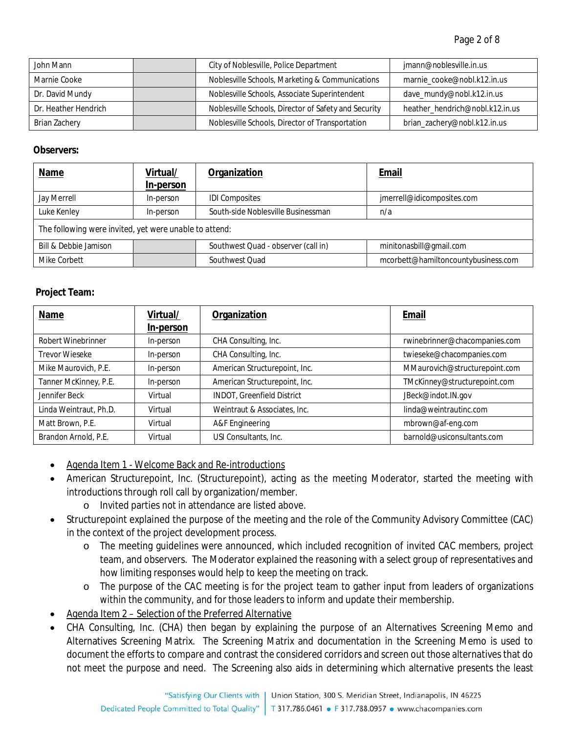| John Mann            | City of Noblesville, Police Department               | jmann@noblesville.in.us         |
|----------------------|------------------------------------------------------|---------------------------------|
| Marnie Cooke         | Noblesville Schools, Marketing & Communications      | marnie_cooke@nobl.k12.in.us     |
| Dr. David Mundy      | Noblesville Schools, Associate Superintendent        | dave_mundy@nobl.k12.in.us       |
| Dr. Heather Hendrich | Noblesville Schools, Director of Safety and Security | heather_hendrich@nobl.k12.in.us |
| Brian Zachery        | Noblesville Schools, Director of Transportation      | brian_zachery@nobl.k12.in.us    |

## **Observers:**

| <b>Name</b>                                            | Virtual/  | Organization                        | <u>Email</u>                        |
|--------------------------------------------------------|-----------|-------------------------------------|-------------------------------------|
|                                                        | In-person |                                     |                                     |
| Jay Merrell                                            | In-person | <b>IDI Composites</b>               | jmerrell@idicomposites.com          |
| Luke Kenley                                            | In-person | South-side Noblesville Businessman  | n/a                                 |
| The following were invited, yet were unable to attend: |           |                                     |                                     |
| Bill & Debbie Jamison                                  |           | Southwest Quad - observer (call in) | minitonasbill@gmail.com             |
| Mike Corbett                                           |           | Southwest Quad                      | mcorbett@hamiltoncountybusiness.com |

## **Project Team:**

| Name                   | Virtual/<br>In-person | Organization                      | Email                         |
|------------------------|-----------------------|-----------------------------------|-------------------------------|
| Robert Winebrinner     | In-person             | CHA Consulting, Inc.              | rwinebrinner@chacompanies.com |
| Trevor Wieseke         | In-person             | CHA Consulting, Inc.              | twieseke@chacompanies.com     |
| Mike Maurovich, P.E.   | In-person             | American Structurepoint, Inc.     | MMaurovich@structurepoint.com |
| Tanner McKinney, P.E.  | In-person             | American Structurepoint, Inc.     | TMcKinney@structurepoint.com  |
| Jennifer Beck          | Virtual               | <b>INDOT, Greenfield District</b> | JBeck@indot.IN.gov            |
| Linda Weintraut, Ph.D. | Virtual               | Weintraut & Associates, Inc.      | linda@weintrautinc.com        |
| Matt Brown, P.E.       | Virtual               | A&F Engineering                   | mbrown@af-eng.com             |
| Brandon Arnold, P.E.   | Virtual               | USI Consultants, Inc.             | barnold@usiconsultants.com    |

- Agenda Item 1 Welcome Back and Re-introductions
- American Structurepoint, Inc. (Structurepoint), acting as the meeting Moderator, started the meeting with introductions through roll call by organization/member.
	- o Invited parties not in attendance are listed above.
- Structurepoint explained the purpose of the meeting and the role of the Community Advisory Committee (CAC) in the context of the project development process.
	- o The meeting guidelines were announced, which included recognition of invited CAC members, project team, and observers. The Moderator explained the reasoning with a select group of representatives and how limiting responses would help to keep the meeting on track.
	- o The purpose of the CAC meeting is for the project team to gather input from leaders of organizations within the community, and for those leaders to inform and update their membership.
- Agenda Item 2 Selection of the Preferred Alternative
- CHA Consulting, Inc. (CHA) then began by explaining the purpose of an Alternatives Screening Memo and Alternatives Screening Matrix. The Screening Matrix and documentation in the Screening Memo is used to document the efforts to compare and contrast the considered corridors and screen out those alternatives that do not meet the purpose and need. The Screening also aids in determining which alternative presents the least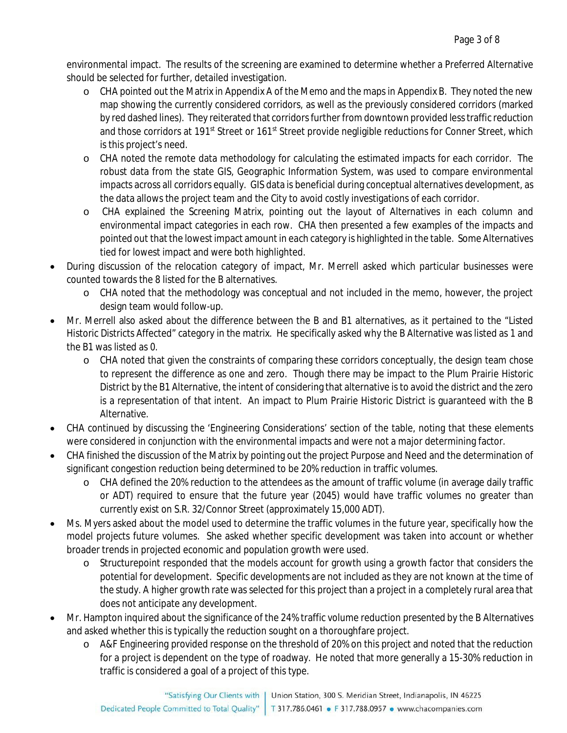environmental impact. The results of the screening are examined to determine whether a Preferred Alternative should be selected for further, detailed investigation.

- o CHA pointed out the Matrix in Appendix A of the Memo and the maps in Appendix B. They noted the new map showing the currently considered corridors, as well as the previously considered corridors (marked by red dashed lines). They reiterated that corridors further from downtown provided less traffic reduction and those corridors at 191<sup>st</sup> Street or 161<sup>st</sup> Street provide negligible reductions for Conner Street, which is this project's need.
- o CHA noted the remote data methodology for calculating the estimated impacts for each corridor. The robust data from the state GIS, Geographic Information System, was used to compare environmental impacts across all corridors equally. GIS data is beneficial during conceptual alternatives development, as the data allows the project team and the City to avoid costly investigations of each corridor.
- o CHA explained the Screening Matrix, pointing out the layout of Alternatives in each column and environmental impact categories in each row. CHA then presented a few examples of the impacts and pointed out that the lowest impact amount in each category is highlighted in the table. Some Alternatives tied for lowest impact and were both highlighted.
- During discussion of the relocation category of impact, Mr. Merrell asked which particular businesses were counted towards the 8 listed for the B alternatives.
	- o CHA noted that the methodology was conceptual and not included in the memo, however, the project design team would follow-up.
- Mr. Merrell also asked about the difference between the B and B1 alternatives, as it pertained to the "Listed Historic Districts Affected" category in the matrix. He specifically asked why the B Alternative was listed as 1 and the B1 was listed as 0.
	- o CHA noted that given the constraints of comparing these corridors conceptually, the design team chose to represent the difference as one and zero. Though there may be impact to the Plum Prairie Historic District by the B1 Alternative, the intent of considering that alternative is to avoid the district and the zero is a representation of that intent. An impact to Plum Prairie Historic District is guaranteed with the B Alternative.
- CHA continued by discussing the 'Engineering Considerations' section of the table, noting that these elements were considered in conjunction with the environmental impacts and were not a major determining factor.
- CHA finished the discussion of the Matrix by pointing out the project Purpose and Need and the determination of significant congestion reduction being determined to be 20% reduction in traffic volumes.
	- o CHA defined the 20% reduction to the attendees as the amount of traffic volume (in average daily traffic or ADT) required to ensure that the future year (2045) would have traffic volumes no greater than currently exist on S.R. 32/Connor Street (approximately 15,000 ADT).
- Ms. Myers asked about the model used to determine the traffic volumes in the future year, specifically how the model projects future volumes. She asked whether specific development was taken into account or whether broader trends in projected economic and population growth were used.
	- Structurepoint responded that the models account for growth using a growth factor that considers the potential for development. Specific developments are not included as they are not known at the time of the study. A higher growth rate was selected for this project than a project in a completely rural area that does not anticipate any development.
- Mr. Hampton inquired about the significance of the 24% traffic volume reduction presented by the B Alternatives and asked whether this is typically the reduction sought on a thoroughfare project.
	- o A&F Engineering provided response on the threshold of 20% on this project and noted that the reduction for a project is dependent on the type of roadway. He noted that more generally a 15-30% reduction in traffic is considered a goal of a project of this type.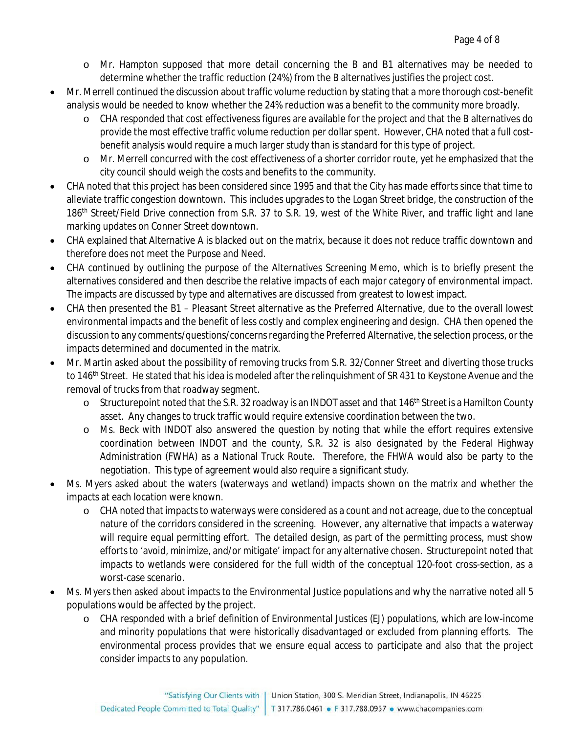- o Mr. Hampton supposed that more detail concerning the B and B1 alternatives may be needed to determine whether the traffic reduction (24%) from the B alternatives justifies the project cost.
- Mr. Merrell continued the discussion about traffic volume reduction by stating that a more thorough cost-benefit analysis would be needed to know whether the 24% reduction was a benefit to the community more broadly.
	- o CHA responded that cost effectiveness figures are available for the project and that the B alternatives do provide the most effective traffic volume reduction per dollar spent. However, CHA noted that a full costbenefit analysis would require a much larger study than is standard for this type of project.
	- o Mr. Merrell concurred with the cost effectiveness of a shorter corridor route, yet he emphasized that the city council should weigh the costs and benefits to the community.
- CHA noted that this project has been considered since 1995 and that the City has made efforts since that time to alleviate traffic congestion downtown. This includes upgrades to the Logan Street bridge, the construction of the 186<sup>th</sup> Street/Field Drive connection from S.R. 37 to S.R. 19, west of the White River, and traffic light and lane marking updates on Conner Street downtown.
- CHA explained that Alternative A is blacked out on the matrix, because it does not reduce traffic downtown and therefore does not meet the Purpose and Need.
- CHA continued by outlining the purpose of the Alternatives Screening Memo, which is to briefly present the alternatives considered and then describe the relative impacts of each major category of environmental impact. The impacts are discussed by type and alternatives are discussed from greatest to lowest impact.
- CHA then presented the B1 Pleasant Street alternative as the Preferred Alternative, due to the overall lowest environmental impacts and the benefit of less costly and complex engineering and design. CHA then opened the discussion to any comments/questions/concerns regarding the Preferred Alternative, the selection process, or the impacts determined and documented in the matrix.
- Mr. Martin asked about the possibility of removing trucks from S.R. 32/Conner Street and diverting those trucks to 146<sup>th</sup> Street. He stated that his idea is modeled after the relinquishment of SR 431 to Keystone Avenue and the removal of trucks from that roadway segment.
	- o Structurepoint noted that the S.R. 32 roadway is an INDOT asset and that 146<sup>th</sup> Street is a Hamilton County asset. Any changes to truck traffic would require extensive coordination between the two.
	- o Ms. Beck with INDOT also answered the question by noting that while the effort requires extensive coordination between INDOT and the county, S.R. 32 is also designated by the Federal Highway Administration (FWHA) as a National Truck Route. Therefore, the FHWA would also be party to the negotiation. This type of agreement would also require a significant study.
- Ms. Myers asked about the waters (waterways and wetland) impacts shown on the matrix and whether the impacts at each location were known.
	- o CHA noted that impacts to waterways were considered as a count and not acreage, due to the conceptual nature of the corridors considered in the screening. However, any alternative that impacts a waterway will require equal permitting effort. The detailed design, as part of the permitting process, must show efforts to 'avoid, minimize, and/or mitigate' impact for any alternative chosen. Structurepoint noted that impacts to wetlands were considered for the full width of the conceptual 120-foot cross-section, as a worst-case scenario.
- Ms. Myers then asked about impacts to the Environmental Justice populations and why the narrative noted all 5 populations would be affected by the project.
	- o CHA responded with a brief definition of Environmental Justices (EJ) populations, which are low-income and minority populations that were historically disadvantaged or excluded from planning efforts. The environmental process provides that we ensure equal access to participate and also that the project consider impacts to any population.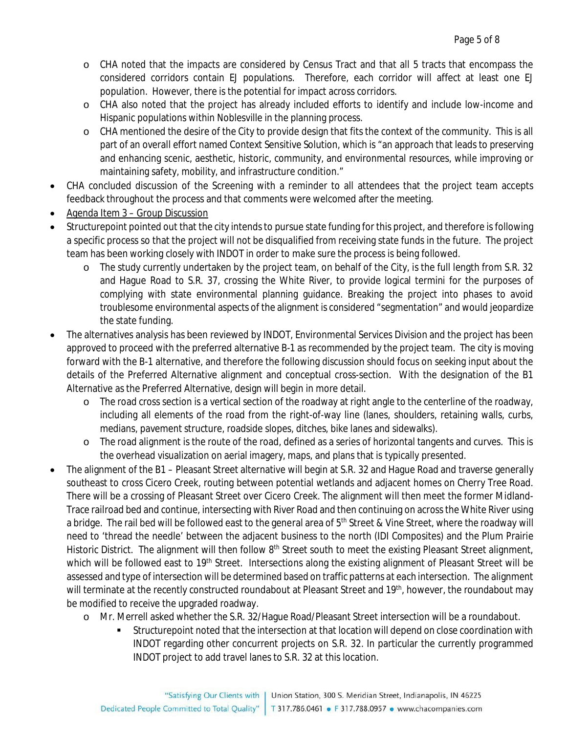- o CHA noted that the impacts are considered by Census Tract and that all 5 tracts that encompass the considered corridors contain EJ populations. Therefore, each corridor will affect at least one EJ population. However, there is the potential for impact across corridors.
- o CHA also noted that the project has already included efforts to identify and include low-income and Hispanic populations within Noblesville in the planning process.
- o CHA mentioned the desire of the City to provide design that fits the context of the community. This is all part of an overall effort named Context Sensitive Solution, which is "an approach that leads to preserving and enhancing scenic, aesthetic, historic, community, and environmental resources, while improving or maintaining safety, mobility, and infrastructure condition."
- CHA concluded discussion of the Screening with a reminder to all attendees that the project team accepts feedback throughout the process and that comments were welcomed after the meeting.
- Agenda Item 3 Group Discussion
- Structurepoint pointed out that the city intends to pursue state funding for this project, and therefore is following a specific process so that the project will not be disqualified from receiving state funds in the future. The project team has been working closely with INDOT in order to make sure the process is being followed.
	- o The study currently undertaken by the project team, on behalf of the City, is the full length from S.R. 32 and Hague Road to S.R. 37, crossing the White River, to provide logical termini for the purposes of complying with state environmental planning guidance. Breaking the project into phases to avoid troublesome environmental aspects of the alignment is considered "segmentation" and would jeopardize the state funding.
- The alternatives analysis has been reviewed by INDOT, Environmental Services Division and the project has been approved to proceed with the preferred alternative B-1 as recommended by the project team. The city is moving forward with the B-1 alternative, and therefore the following discussion should focus on seeking input about the details of the Preferred Alternative alignment and conceptual cross-section. With the designation of the B1 Alternative as the Preferred Alternative, design will begin in more detail.
	- o The road cross section is a vertical section of the roadway at right angle to the centerline of the roadway, including all elements of the road from the right-of-way line (lanes, shoulders, retaining walls, curbs, medians, pavement structure, roadside slopes, ditches, bike lanes and sidewalks).
	- o The road alignment is the route of the road, defined as a series of horizontal tangents and curves. This is the overhead visualization on aerial imagery, maps, and plans that is typically presented.
- The alignment of the B1 Pleasant Street alternative will begin at S.R. 32 and Hague Road and traverse generally southeast to cross Cicero Creek, routing between potential wetlands and adjacent homes on Cherry Tree Road. There will be a crossing of Pleasant Street over Cicero Creek. The alignment will then meet the former Midland-Trace railroad bed and continue, intersecting with River Road and then continuing on across the White River using a bridge. The rail bed will be followed east to the general area of 5<sup>th</sup> Street & Vine Street, where the roadway will need to 'thread the needle' between the adjacent business to the north (IDI Composites) and the Plum Prairie Historic District. The alignment will then follow 8<sup>th</sup> Street south to meet the existing Pleasant Street alignment, which will be followed east to 19<sup>th</sup> Street. Intersections along the existing alignment of Pleasant Street will be assessed and type of intersection will be determined based on traffic patterns at each intersection. The alignment will terminate at the recently constructed roundabout at Pleasant Street and 19<sup>th</sup>, however, the roundabout may be modified to receive the upgraded roadway.
	- o Mr. Merrell asked whether the S.R. 32/Hague Road/Pleasant Street intersection will be a roundabout.
		- Structurepoint noted that the intersection at that location will depend on close coordination with INDOT regarding other concurrent projects on S.R. 32. In particular the currently programmed INDOT project to add travel lanes to S.R. 32 at this location.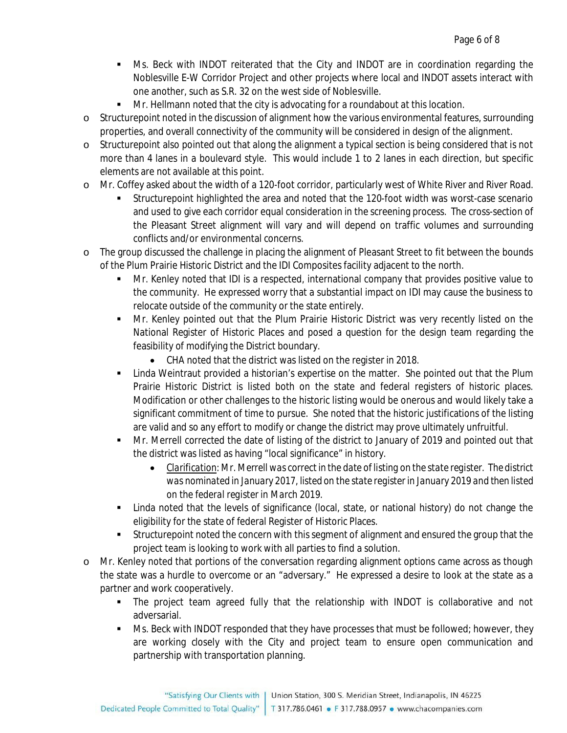- Ms. Beck with INDOT reiterated that the City and INDOT are in coordination regarding the Noblesville E-W Corridor Project and other projects where local and INDOT assets interact with one another, such as S.R. 32 on the west side of Noblesville.
- Mr. Hellmann noted that the city is advocating for a roundabout at this location.
- o Structurepoint noted in the discussion of alignment how the various environmental features, surrounding properties, and overall connectivity of the community will be considered in design of the alignment.
- o Structurepoint also pointed out that along the alignment a typical section is being considered that is not more than 4 lanes in a boulevard style. This would include 1 to 2 lanes in each direction, but specific elements are not available at this point.
- o Mr. Coffey asked about the width of a 120-foot corridor, particularly west of White River and River Road.
	- Structurepoint highlighted the area and noted that the 120-foot width was worst-case scenario and used to give each corridor equal consideration in the screening process. The cross-section of the Pleasant Street alignment will vary and will depend on traffic volumes and surrounding conflicts and/or environmental concerns.
- o The group discussed the challenge in placing the alignment of Pleasant Street to fit between the bounds of the Plum Prairie Historic District and the IDI Composites facility adjacent to the north.
	- Mr. Kenley noted that IDI is a respected, international company that provides positive value to the community. He expressed worry that a substantial impact on IDI may cause the business to relocate outside of the community or the state entirely.
	- Mr. Kenley pointed out that the Plum Prairie Historic District was very recently listed on the National Register of Historic Places and posed a question for the design team regarding the feasibility of modifying the District boundary.
		- CHA noted that the district was listed on the register in 2018.
	- Linda Weintraut provided a historian's expertise on the matter. She pointed out that the Plum Prairie Historic District is listed both on the state and federal registers of historic places. Modification or other challenges to the historic listing would be onerous and would likely take a significant commitment of time to pursue. She noted that the historic justifications of the listing are valid and so any effort to modify or change the district may prove ultimately unfruitful.
	- Mr. Merrell corrected the date of listing of the district to January of 2019 and pointed out that the district was listed as having "local significance" in history.
		- *Clarification: Mr. Merrell was correct in the date of listing on the state register. The district was nominated in January 2017, listed on the state register in January 2019 and then listed on the federal register in March 2019.*
	- Linda noted that the levels of significance (local, state, or national history) do not change the eligibility for the state of federal Register of Historic Places.
	- Structurepoint noted the concern with this segment of alignment and ensured the group that the project team is looking to work with all parties to find a solution.
- o Mr. Kenley noted that portions of the conversation regarding alignment options came across as though the state was a hurdle to overcome or an "adversary." He expressed a desire to look at the state as a partner and work cooperatively.
	- The project team agreed fully that the relationship with INDOT is collaborative and not adversarial.
	- Ms. Beck with INDOT responded that they have processes that must be followed; however, they are working closely with the City and project team to ensure open communication and partnership with transportation planning.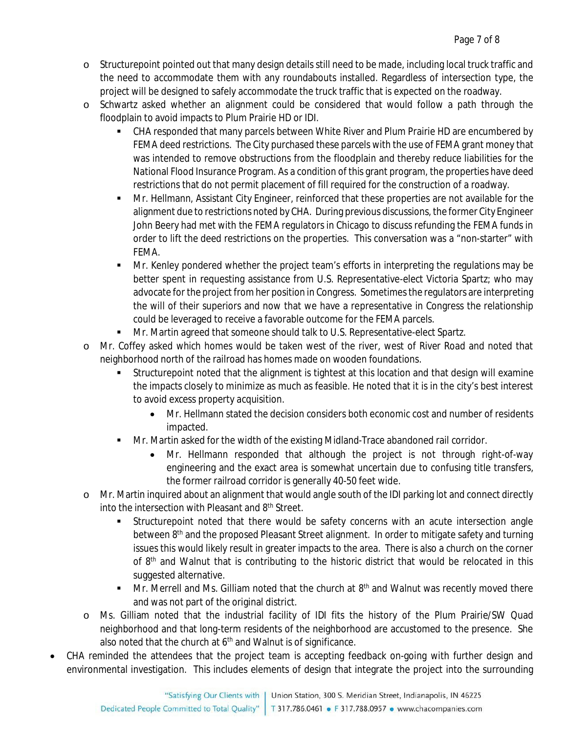- o Structurepoint pointed out that many design details still need to be made, including local truck traffic and the need to accommodate them with any roundabouts installed. Regardless of intersection type, the project will be designed to safely accommodate the truck traffic that is expected on the roadway.
- o Schwartz asked whether an alignment could be considered that would follow a path through the floodplain to avoid impacts to Plum Prairie HD or IDI.
	- CHA responded that many parcels between White River and Plum Prairie HD are encumbered by FEMA deed restrictions. The City purchased these parcels with the use of FEMA grant money that was intended to remove obstructions from the floodplain and thereby reduce liabilities for the National Flood Insurance Program. As a condition of this grant program, the properties have deed restrictions that do not permit placement of fill required for the construction of a roadway.
	- Mr. Hellmann, Assistant City Engineer, reinforced that these properties are not available for the alignment due to restrictions noted by CHA. During previous discussions, the former City Engineer John Beery had met with the FEMA regulators in Chicago to discuss refunding the FEMA funds in order to lift the deed restrictions on the properties. This conversation was a "non-starter" with FEMA.
	- Mr. Kenley pondered whether the project team's efforts in interpreting the regulations may be better spent in requesting assistance from U.S. Representative-elect Victoria Spartz; who may advocate for the project from her position in Congress. Sometimes the regulators are interpreting the will of their superiors and now that we have a representative in Congress the relationship could be leveraged to receive a favorable outcome for the FEMA parcels.
	- Mr. Martin agreed that someone should talk to U.S. Representative-elect Spartz.
- o Mr. Coffey asked which homes would be taken west of the river, west of River Road and noted that neighborhood north of the railroad has homes made on wooden foundations.
	- Structurepoint noted that the alignment is tightest at this location and that design will examine the impacts closely to minimize as much as feasible. He noted that it is in the city's best interest to avoid excess property acquisition.
		- Mr. Hellmann stated the decision considers both economic cost and number of residents impacted.
	- Mr. Martin asked for the width of the existing Midland-Trace abandoned rail corridor.
		- Mr. Hellmann responded that although the project is not through right-of-way engineering and the exact area is somewhat uncertain due to confusing title transfers, the former railroad corridor is generally 40-50 feet wide.
- o Mr. Martin inquired about an alignment that would angle south of the IDI parking lot and connect directly into the intersection with Pleasant and 8<sup>th</sup> Street.
	- Structurepoint noted that there would be safety concerns with an acute intersection angle between 8<sup>th</sup> and the proposed Pleasant Street alignment. In order to mitigate safety and turning issues this would likely result in greater impacts to the area. There is also a church on the corner of 8<sup>th</sup> and Walnut that is contributing to the historic district that would be relocated in this suggested alternative.
	- $\blacksquare$  Mr. Merrell and Ms. Gilliam noted that the church at  $8<sup>th</sup>$  and Walnut was recently moved there and was not part of the original district.
- o Ms. Gilliam noted that the industrial facility of IDI fits the history of the Plum Prairie/SW Quad neighborhood and that long-term residents of the neighborhood are accustomed to the presence. She also noted that the church at  $6<sup>th</sup>$  and Walnut is of significance.
- CHA reminded the attendees that the project team is accepting feedback on-going with further design and environmental investigation. This includes elements of design that integrate the project into the surrounding